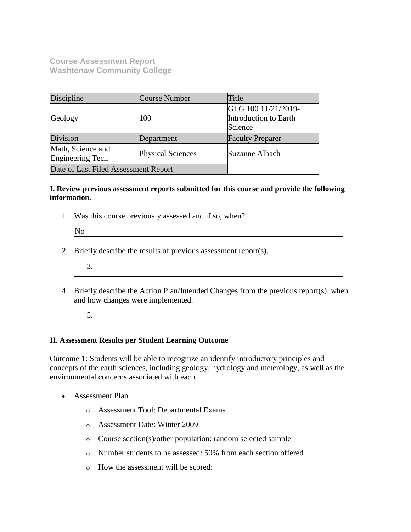**Course Assessment Report Washtenaw Community College**

| Discipline                                                        | Course Number | Title                                                   |  |
|-------------------------------------------------------------------|---------------|---------------------------------------------------------|--|
| Geology                                                           | 100           | GLG 100 11/21/2019-<br>Introduction to Earth<br>Science |  |
| Division                                                          | Department    | <b>Faculty Preparer</b>                                 |  |
| Math, Science and<br><b>Physical Sciences</b><br>Engineering Tech |               | Suzanne Albach                                          |  |
| Date of Last Filed Assessment Report                              |               |                                                         |  |

#### **I. Review previous assessment reports submitted for this course and provide the following information.**

1. Was this course previously assessed and if so, when?

| IN. |  |
|-----|--|
|     |  |

- 2. Briefly describe the results of previous assessment report(s).
	- 3.
- 4. Briefly describe the Action Plan/Intended Changes from the previous report(s), when and how changes were implemented.
	- 5.

### **II. Assessment Results per Student Learning Outcome**

Outcome 1: Students will be able to recognize an identify introductory principles and concepts of the earth sciences, including geology, hydrology and meterology, as well as the environmental concerns associated with each.

- Assessment Plan
	- o Assessment Tool: Departmental Exams
	- o Assessment Date: Winter 2009
	- o Course section(s)/other population: random selected sample
	- o Number students to be assessed: 50% from each section offered
	- o How the assessment will be scored: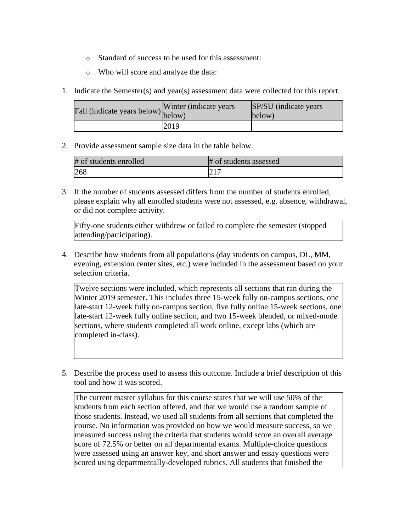- o Standard of success to be used for this assessment:
- o Who will score and analyze the data:
- 1. Indicate the Semester(s) and year(s) assessment data were collected for this report.

| Fall (indicate years below) below) | Winter (indicate years) | SP/SU (indicate years)<br>below) |
|------------------------------------|-------------------------|----------------------------------|
|                                    | 2019                    |                                  |

2. Provide assessment sample size data in the table below.

| # of students enrolled | # of students assessed |
|------------------------|------------------------|
| 268                    | 217<br>$\angle$ 1      |

3. If the number of students assessed differs from the number of students enrolled, please explain why all enrolled students were not assessed, e.g. absence, withdrawal, or did not complete activity.

Fifty-one students either withdrew or failed to complete the semester (stopped attending/participating).

4. Describe how students from all populations (day students on campus, DL, MM, evening, extension center sites, etc.) were included in the assessment based on your selection criteria.

Twelve sections were included, which represents all sections that ran during the Winter 2019 semester. This includes three 15-week fully on-campus sections, one late-start 12-week fully on-campus section, five fully online 15-week sections, one late-start 12-week fully online section, and two 15-week blended, or mixed-mode sections, where students completed all work online, except labs (which are completed in-class).

5. Describe the process used to assess this outcome. Include a brief description of this tool and how it was scored.

The current master syllabus for this course states that we will use 50% of the students from each section offered, and that we would use a random sample of those students. Instead, we used all students from all sections that completed the course. No information was provided on how we would measure success, so we measured success using the criteria that students would score an overall average score of 72.5% or better on all departmental exams. Multiple-choice questions were assessed using an answer key, and short answer and essay questions were scored using departmentally-developed rubrics. All students that finished the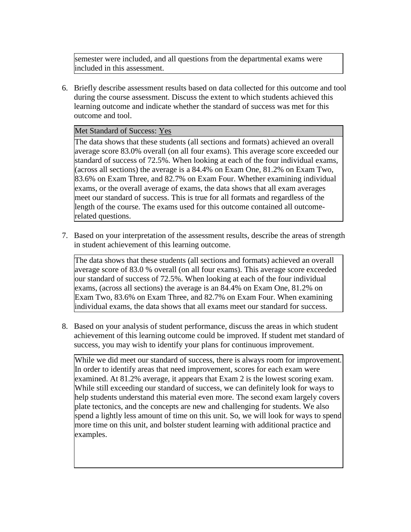semester were included, and all questions from the departmental exams were included in this assessment.

6. Briefly describe assessment results based on data collected for this outcome and tool during the course assessment. Discuss the extent to which students achieved this learning outcome and indicate whether the standard of success was met for this outcome and tool.

## Met Standard of Success: Yes

The data shows that these students (all sections and formats) achieved an overall average score 83.0% overall (on all four exams). This average score exceeded our standard of success of 72.5%. When looking at each of the four individual exams, (across all sections) the average is a 84.4% on Exam One, 81.2% on Exam Two, 83.6% on Exam Three, and 82.7% on Exam Four. Whether examining individual exams, or the overall average of exams, the data shows that all exam averages meet our standard of success. This is true for all formats and regardless of the length of the course. The exams used for this outcome contained all outcomerelated questions.

7. Based on your interpretation of the assessment results, describe the areas of strength in student achievement of this learning outcome.

The data shows that these students (all sections and formats) achieved an overall average score of 83.0 % overall (on all four exams). This average score exceeded our standard of success of 72.5%. When looking at each of the four individual exams, (across all sections) the average is an 84.4% on Exam One, 81.2% on Exam Two, 83.6% on Exam Three, and 82.7% on Exam Four. When examining individual exams, the data shows that all exams meet our standard for success.

8. Based on your analysis of student performance, discuss the areas in which student achievement of this learning outcome could be improved. If student met standard of success, you may wish to identify your plans for continuous improvement.

While we did meet our standard of success, there is always room for improvement. In order to identify areas that need improvement, scores for each exam were examined. At 81.2% average, it appears that Exam 2 is the lowest scoring exam. While still exceeding our standard of success, we can definitely look for ways to help students understand this material even more. The second exam largely covers plate tectonics, and the concepts are new and challenging for students. We also spend a lightly less amount of time on this unit. So, we will look for ways to spend more time on this unit, and bolster student learning with additional practice and examples.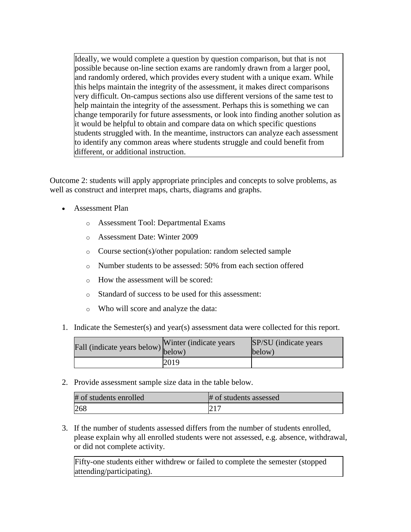Ideally, we would complete a question by question comparison, but that is not possible because on-line section exams are randomly drawn from a larger pool, and randomly ordered, which provides every student with a unique exam. While this helps maintain the integrity of the assessment, it makes direct comparisons very difficult. On-campus sections also use different versions of the same test to help maintain the integrity of the assessment. Perhaps this is something we can change temporarily for future assessments, or look into finding another solution as it would be helpful to obtain and compare data on which specific questions students struggled with. In the meantime, instructors can analyze each assessment to identify any common areas where students struggle and could benefit from different, or additional instruction.

Outcome 2: students will apply appropriate principles and concepts to solve problems, as well as construct and interpret maps, charts, diagrams and graphs.

- Assessment Plan
	- o Assessment Tool: Departmental Exams
	- o Assessment Date: Winter 2009
	- o Course section(s)/other population: random selected sample
	- o Number students to be assessed: 50% from each section offered
	- o How the assessment will be scored:
	- o Standard of success to be used for this assessment:
	- o Who will score and analyze the data:
- 1. Indicate the Semester(s) and year(s) assessment data were collected for this report.

| Fall (indicate years below) below) | Winter (indicate years) | SP/SU (indicate years)<br>below) |
|------------------------------------|-------------------------|----------------------------------|
|                                    | 2019                    |                                  |

2. Provide assessment sample size data in the table below.

| # of students enrolled | # of students assessed |
|------------------------|------------------------|
| 268                    |                        |

3. If the number of students assessed differs from the number of students enrolled, please explain why all enrolled students were not assessed, e.g. absence, withdrawal, or did not complete activity.

Fifty-one students either withdrew or failed to complete the semester (stopped attending/participating).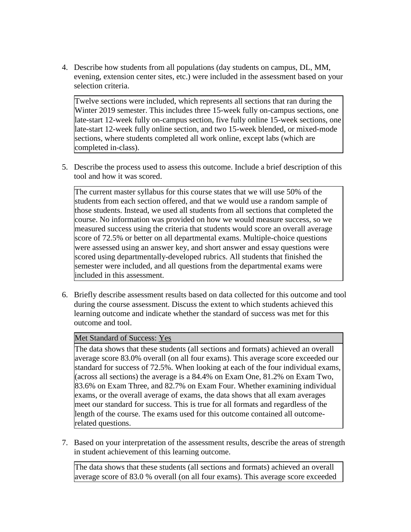4. Describe how students from all populations (day students on campus, DL, MM, evening, extension center sites, etc.) were included in the assessment based on your selection criteria.

Twelve sections were included, which represents all sections that ran during the Winter 2019 semester. This includes three 15-week fully on-campus sections, one late-start 12-week fully on-campus section, five fully online 15-week sections, one late-start 12-week fully online section, and two 15-week blended, or mixed-mode sections, where students completed all work online, except labs (which are completed in-class).

5. Describe the process used to assess this outcome. Include a brief description of this tool and how it was scored.

The current master syllabus for this course states that we will use 50% of the students from each section offered, and that we would use a random sample of those students. Instead, we used all students from all sections that completed the course. No information was provided on how we would measure success, so we measured success using the criteria that students would score an overall average score of 72.5% or better on all departmental exams. Multiple-choice questions were assessed using an answer key, and short answer and essay questions were scored using departmentally-developed rubrics. All students that finished the semester were included, and all questions from the departmental exams were included in this assessment.

6. Briefly describe assessment results based on data collected for this outcome and tool during the course assessment. Discuss the extent to which students achieved this learning outcome and indicate whether the standard of success was met for this outcome and tool.

### Met Standard of Success: Yes

The data shows that these students (all sections and formats) achieved an overall average score 83.0% overall (on all four exams). This average score exceeded our standard for success of 72.5%. When looking at each of the four individual exams, (across all sections) the average is a 84.4% on Exam One, 81.2% on Exam Two, 83.6% on Exam Three, and 82.7% on Exam Four. Whether examining individual exams, or the overall average of exams, the data shows that all exam averages meet our standard for success. This is true for all formats and regardless of the length of the course. The exams used for this outcome contained all outcomerelated questions.

7. Based on your interpretation of the assessment results, describe the areas of strength in student achievement of this learning outcome.

The data shows that these students (all sections and formats) achieved an overall average score of 83.0 % overall (on all four exams). This average score exceeded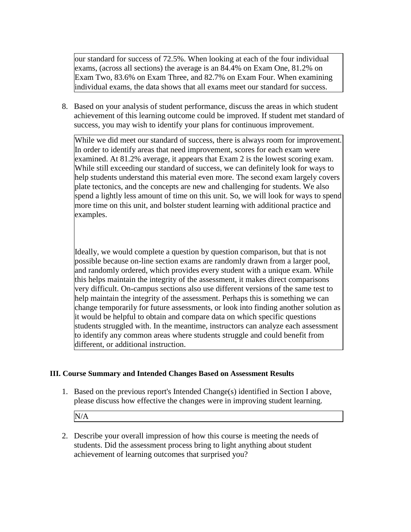our standard for success of 72.5%. When looking at each of the four individual exams, (across all sections) the average is an 84.4% on Exam One, 81.2% on Exam Two, 83.6% on Exam Three, and 82.7% on Exam Four. When examining individual exams, the data shows that all exams meet our standard for success.

8. Based on your analysis of student performance, discuss the areas in which student achievement of this learning outcome could be improved. If student met standard of success, you may wish to identify your plans for continuous improvement.

While we did meet our standard of success, there is always room for improvement. In order to identify areas that need improvement, scores for each exam were examined. At 81.2% average, it appears that Exam 2 is the lowest scoring exam. While still exceeding our standard of success, we can definitely look for ways to help students understand this material even more. The second exam largely covers plate tectonics, and the concepts are new and challenging for students. We also spend a lightly less amount of time on this unit. So, we will look for ways to spend more time on this unit, and bolster student learning with additional practice and examples.

Ideally, we would complete a question by question comparison, but that is not possible because on-line section exams are randomly drawn from a larger pool, and randomly ordered, which provides every student with a unique exam. While this helps maintain the integrity of the assessment, it makes direct comparisons very difficult. On-campus sections also use different versions of the same test to help maintain the integrity of the assessment. Perhaps this is something we can change temporarily for future assessments, or look into finding another solution as it would be helpful to obtain and compare data on which specific questions students struggled with. In the meantime, instructors can analyze each assessment to identify any common areas where students struggle and could benefit from different, or additional instruction.

### **III. Course Summary and Intended Changes Based on Assessment Results**

1. Based on the previous report's Intended Change(s) identified in Section I above, please discuss how effective the changes were in improving student learning.

N/A

2. Describe your overall impression of how this course is meeting the needs of students. Did the assessment process bring to light anything about student achievement of learning outcomes that surprised you?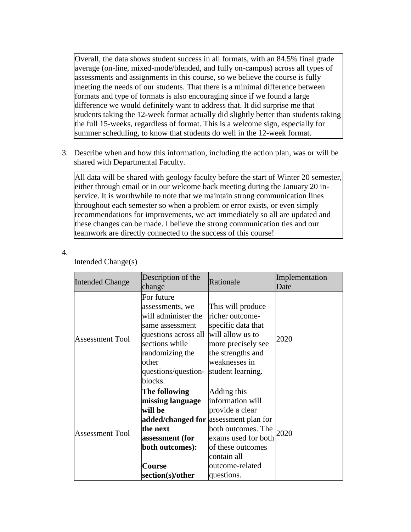Overall, the data shows student success in all formats, with an 84.5% final grade average (on-line, mixed-mode/blended, and fully on-campus) across all types of assessments and assignments in this course, so we believe the course is fully meeting the needs of our students. That there is a minimal difference between formats and type of formats is also encouraging since if we found a large difference we would definitely want to address that. It did surprise me that students taking the 12-week format actually did slightly better than students taking the full 15-weeks, regardless of format. This is a welcome sign, especially for summer scheduling, to know that students do well in the 12-week format.

3. Describe when and how this information, including the action plan, was or will be shared with Departmental Faculty.

All data will be shared with geology faculty before the start of Winter 20 semester, either through email or in our welcome back meeting during the January 20 inservice. It is worthwhile to note that we maintain strong communication lines throughout each semester so when a problem or error exists, or even simply recommendations for improvements, we act immediately so all are updated and these changes can be made. I believe the strong communication ties and our teamwork are directly connected to the success of this course!

4.

| <b>Intended Change</b> | Description of the<br>change                                                                                                                                                    | Rationale                                                                                                                                                            | Implementation<br>Date |
|------------------------|---------------------------------------------------------------------------------------------------------------------------------------------------------------------------------|----------------------------------------------------------------------------------------------------------------------------------------------------------------------|------------------------|
| <b>Assessment Tool</b> | For future<br>assessments, we<br>will administer the<br>same assessment<br>questions across all<br>sections while<br>randomizing the<br>other<br>questions/question-<br>blocks. | This will produce<br>richer outcome-<br>specific data that<br>will allow us to<br>more precisely see<br>the strengths and<br>weaknesses in<br>student learning.      | 2020                   |
| <b>Assessment Tool</b> | The following<br>missing language<br>will be<br>added/changed for assessment plan for<br>the next<br>assessment (for<br>both outcomes):<br>Course<br>section(s)/other           | Adding this<br>information will<br>provide a clear<br>both outcomes. The<br>exams used for both<br>of these outcomes<br>contain all<br>outcome-related<br>questions. | 2020                   |

#### Intended Change(s)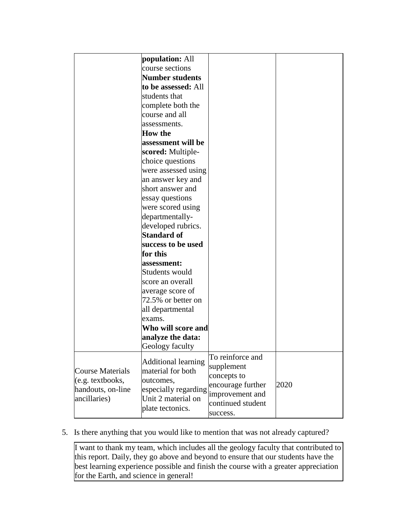|                         | population: All            |                   |      |
|-------------------------|----------------------------|-------------------|------|
|                         | course sections            |                   |      |
|                         | <b>Number students</b>     |                   |      |
|                         | to be assessed: All        |                   |      |
|                         | students that              |                   |      |
|                         | complete both the          |                   |      |
|                         | course and all             |                   |      |
|                         | assessments.               |                   |      |
|                         | <b>How the</b>             |                   |      |
|                         | assessment will be         |                   |      |
|                         | scored: Multiple-          |                   |      |
|                         | choice questions           |                   |      |
|                         | were assessed using        |                   |      |
|                         | an answer key and          |                   |      |
|                         | short answer and           |                   |      |
|                         | essay questions            |                   |      |
|                         | were scored using          |                   |      |
|                         | departmentally-            |                   |      |
|                         | developed rubrics.         |                   |      |
|                         | <b>Standard of</b>         |                   |      |
|                         | success to be used         |                   |      |
|                         | for this                   |                   |      |
|                         | assessment:                |                   |      |
|                         | Students would             |                   |      |
|                         | score an overall           |                   |      |
|                         | average score of           |                   |      |
|                         | 72.5% or better on         |                   |      |
|                         | all departmental           |                   |      |
|                         | exams.                     |                   |      |
|                         | Who will score and         |                   |      |
|                         | analyze the data:          |                   |      |
|                         | Geology faculty            |                   |      |
|                         |                            | To reinforce and  |      |
|                         | <b>Additional learning</b> | supplement        |      |
| <b>Course Materials</b> | material for both          | concepts to       |      |
| (e.g. textbooks,        | outcomes,                  | encourage further | 2020 |
| handouts, on-line       | especially regarding       | improvement and   |      |
| ancillaries)            | Unit 2 material on         | continued student |      |
|                         | plate tectonics.           | success.          |      |
|                         |                            |                   |      |

# 5. Is there anything that you would like to mention that was not already captured?

I want to thank my team, which includes all the geology faculty that contributed to this report. Daily, they go above and beyond to ensure that our students have the best learning experience possible and finish the course with a greater appreciation for the Earth, and science in general!